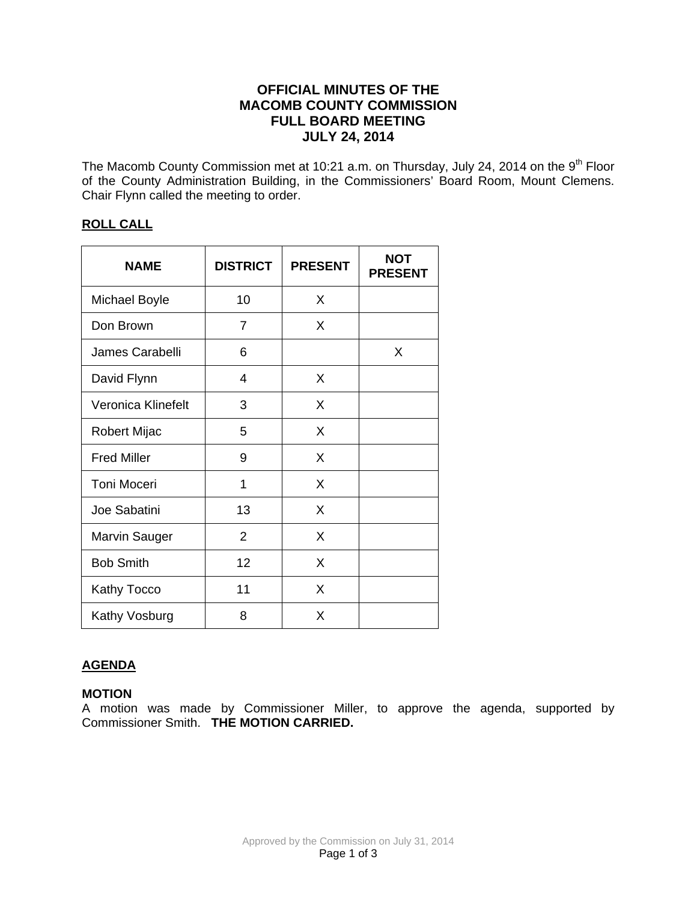# **OFFICIAL MINUTES OF THE MACOMB COUNTY COMMISSION FULL BOARD MEETING JULY 24, 2014**

The Macomb County Commission met at 10:21 a.m. on Thursday, July 24, 2014 on the 9<sup>th</sup> Floor of the County Administration Building, in the Commissioners' Board Room, Mount Clemens. Chair Flynn called the meeting to order.

## **ROLL CALL**

| <b>NAME</b>        | <b>DISTRICT</b> | <b>PRESENT</b> | <b>NOT</b><br><b>PRESENT</b> |
|--------------------|-----------------|----------------|------------------------------|
| Michael Boyle      | 10              | X              |                              |
| Don Brown          | 7               | X              |                              |
| James Carabelli    | 6               |                | X                            |
| David Flynn        | 4               | X              |                              |
| Veronica Klinefelt | 3               | X              |                              |
| Robert Mijac       | 5               | X              |                              |
| <b>Fred Miller</b> | 9               | X              |                              |
| <b>Toni Moceri</b> | 1               | X              |                              |
| Joe Sabatini       | 13              | X              |                              |
| Marvin Sauger      | $\overline{2}$  | X              |                              |
| <b>Bob Smith</b>   | 12              | X              |                              |
| Kathy Tocco        | 11              | X              |                              |
| Kathy Vosburg      | 8               | X              |                              |

# **AGENDA**

## **MOTION**

A motion was made by Commissioner Miller, to approve the agenda, supported by Commissioner Smith. **THE MOTION CARRIED.**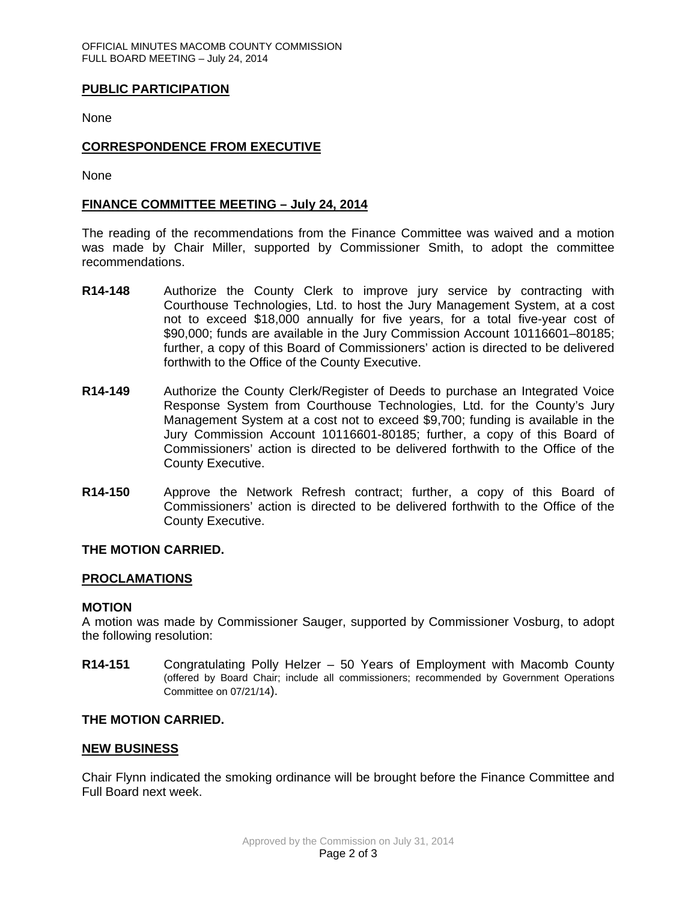### **PUBLIC PARTICIPATION**

None

## **CORRESPONDENCE FROM EXECUTIVE**

None

#### **FINANCE COMMITTEE MEETING – July 24, 2014**

The reading of the recommendations from the Finance Committee was waived and a motion was made by Chair Miller, supported by Commissioner Smith, to adopt the committee recommendations.

- **R14-148** Authorize the County Clerk to improve jury service by contracting with Courthouse Technologies, Ltd. to host the Jury Management System, at a cost not to exceed \$18,000 annually for five years, for a total five-year cost of \$90,000; funds are available in the Jury Commission Account 10116601–80185; further, a copy of this Board of Commissioners' action is directed to be delivered forthwith to the Office of the County Executive.
- **R14-149** Authorize the County Clerk/Register of Deeds to purchase an Integrated Voice Response System from Courthouse Technologies, Ltd. for the County's Jury Management System at a cost not to exceed \$9,700; funding is available in the Jury Commission Account 10116601-80185; further, a copy of this Board of Commissioners' action is directed to be delivered forthwith to the Office of the County Executive.
- **R14-150** Approve the Network Refresh contract; further, a copy of this Board of Commissioners' action is directed to be delivered forthwith to the Office of the County Executive.

#### **THE MOTION CARRIED.**

#### **PROCLAMATIONS**

#### **MOTION**

A motion was made by Commissioner Sauger, supported by Commissioner Vosburg, to adopt the following resolution:

**R14-151** Congratulating Polly Helzer – 50 Years of Employment with Macomb County (offered by Board Chair; include all commissioners; recommended by Government Operations Committee on 07/21/14).

### **THE MOTION CARRIED.**

#### **NEW BUSINESS**

Chair Flynn indicated the smoking ordinance will be brought before the Finance Committee and Full Board next week.